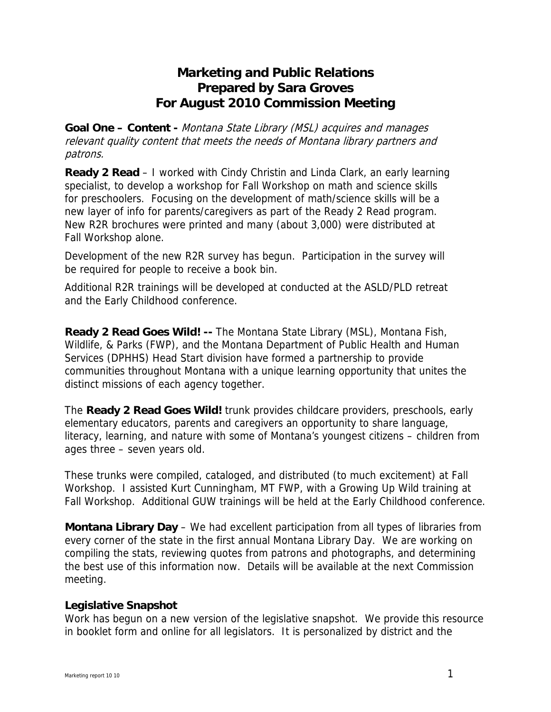## **Marketing and Public Relations Prepared by Sara Groves For August 2010 Commission Meeting**

**Goal One – Content -** Montana State Library (MSL) acquires and manages relevant quality content that meets the needs of Montana library partners and patrons.

**Ready 2 Read** – I worked with Cindy Christin and Linda Clark, an early learning specialist, to develop a workshop for Fall Workshop on math and science skills for preschoolers. Focusing on the development of math/science skills will be a new layer of info for parents/caregivers as part of the Ready 2 Read program. New R2R brochures were printed and many (about 3,000) were distributed at Fall Workshop alone.

Development of the new R2R survey has begun. Participation in the survey will be required for people to receive a book bin.

Additional R2R trainings will be developed at conducted at the ASLD/PLD retreat and the Early Childhood conference.

**Ready 2 Read Goes Wild! --** The Montana State Library (MSL), Montana Fish, Wildlife, & Parks (FWP), and the Montana Department of Public Health and Human Services (DPHHS) Head Start division have formed a partnership to provide communities throughout Montana with a unique learning opportunity that unites the distinct missions of each agency together.

The **Ready 2 Read Goes Wild!** trunk provides childcare providers, preschools, early elementary educators, parents and caregivers an opportunity to share language, literacy, learning, and nature with some of Montana's youngest citizens – children from ages three – seven years old.

These trunks were compiled, cataloged, and distributed (to much excitement) at Fall Workshop. I assisted Kurt Cunningham, MT FWP, with a Growing Up Wild training at Fall Workshop. Additional GUW trainings will be held at the Early Childhood conference.

**Montana Library Day** – We had excellent participation from all types of libraries from every corner of the state in the first annual Montana Library Day. We are working on compiling the stats, reviewing quotes from patrons and photographs, and determining the best use of this information now. Details will be available at the next Commission meeting.

## **Legislative Snapshot**

Work has begun on a new version of the legislative snapshot. We provide this resource in booklet form and online for all legislators. It is personalized by district and the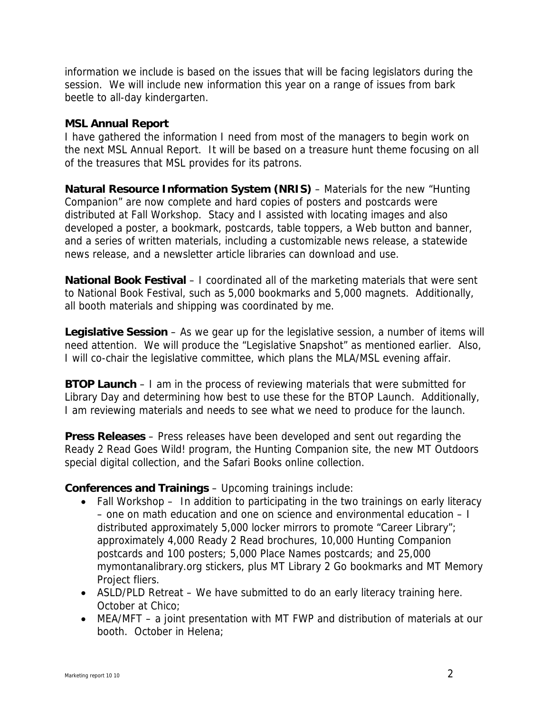information we include is based on the issues that will be facing legislators during the session. We will include new information this year on a range of issues from bark beetle to all-day kindergarten.

## **MSL Annual Report**

I have gathered the information I need from most of the managers to begin work on the next MSL Annual Report. It will be based on a treasure hunt theme focusing on all of the treasures that MSL provides for its patrons.

**Natural Resource Information System (NRIS)** – Materials for the new "Hunting Companion" are now complete and hard copies of posters and postcards were distributed at Fall Workshop. Stacy and I assisted with locating images and also developed a poster, a bookmark, postcards, table toppers, a Web button and banner, and a series of written materials, including a customizable news release, a statewide news release, and a newsletter article libraries can download and use.

**National Book Festival** – I coordinated all of the marketing materials that were sent to National Book Festival, such as 5,000 bookmarks and 5,000 magnets. Additionally, all booth materials and shipping was coordinated by me.

**Legislative Session** – As we gear up for the legislative session, a number of items will need attention. We will produce the "Legislative Snapshot" as mentioned earlier. Also, I will co-chair the legislative committee, which plans the MLA/MSL evening affair.

**BTOP Launch** – I am in the process of reviewing materials that were submitted for Library Day and determining how best to use these for the BTOP Launch. Additionally, I am reviewing materials and needs to see what we need to produce for the launch.

**Press Releases** – Press releases have been developed and sent out regarding the Ready 2 Read Goes Wild! program, the Hunting Companion site, the new MT Outdoors special digital collection, and the Safari Books online collection.

**Conferences and Trainings** – Upcoming trainings include:

- Fall Workshop In addition to participating in the two trainings on early literacy – one on math education and one on science and environmental education – I distributed approximately 5,000 locker mirrors to promote "Career Library"; approximately 4,000 Ready 2 Read brochures, 10,000 Hunting Companion postcards and 100 posters; 5,000 Place Names postcards; and 25,000 mymontanalibrary.org stickers, plus MT Library 2 Go bookmarks and MT Memory Project fliers.
- ASLD/PLD Retreat We have submitted to do an early literacy training here. October at Chico;
- MEA/MFT a joint presentation with MT FWP and distribution of materials at our booth. October in Helena;